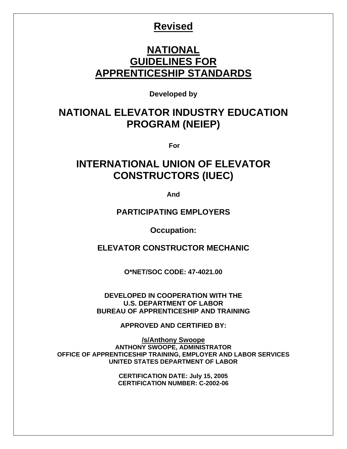# **Revised**

# **NATIONAL GUIDELINES FOR APPRENTICESHIP STANDARDS**

**Developed by** 

# **NATIONAL ELEVATOR INDUSTRY EDUCATION PROGRAM (NEIEP)**

 **For** 

# **INTERNATIONAL UNION OF ELEVATOR CONSTRUCTORS (IUEC)**

**And** 

**PARTICIPATING EMPLOYERS** 

**Occupation:** 

**ELEVATOR CONSTRUCTOR MECHANIC** 

**O\*NET/SOC CODE: 47-4021.00** 

**DEVELOPED IN COOPERATION WITH THE U.S. DEPARTMENT OF LABOR BUREAU OF APPRENTICESHIP AND TRAINING** 

**APPROVED AND CERTIFIED BY:** 

**/s/Anthony Swoope ANTHONY SWOOPE, ADMINISTRATOR OFFICE OF APPRENTICESHIP TRAINING, EMPLOYER AND LABOR SERVICES UNITED STATES DEPARTMENT OF LABOR** 

> **CERTIFICATION DATE: July 15, 2005 CERTIFICATION NUMBER: C-2002-06**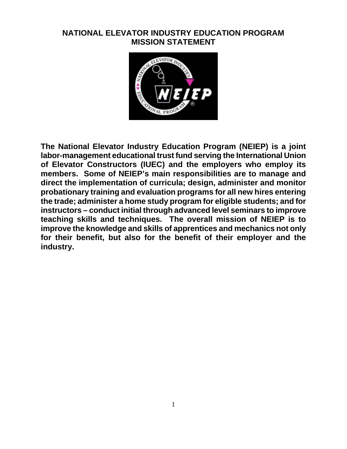# **NATIONAL ELEVATOR INDUSTRY EDUCATION PROGRAM MISSION STATEMENT**



**The National Elevator Industry Education Program (NEIEP) is a joint labor-management educational trust fund serving the International Union of Elevator Constructors (IUEC) and the employers who employ its members. Some of NEIEP's main responsibilities are to manage and direct the implementation of curricula; design, administer and monitor probationary training and evaluation programs for all new hires entering the trade; administer a home study program for eligible students; and for instructors – conduct initial through advanced level seminars to improve teaching skills and techniques. The overall mission of NEIEP is to improve the knowledge and skills of apprentices and mechanics not only for their benefit, but also for the benefit of their employer and the industry.**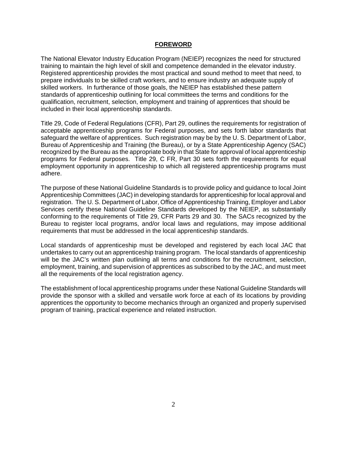#### **FOREWORD**

The National Elevator Industry Education Program (NEIEP) recognizes the need for structured training to maintain the high level of skill and competence demanded in the elevator industry. Registered apprenticeship provides the most practical and sound method to meet that need, to prepare individuals to be skilled craft workers, and to ensure industry an adequate supply of skilled workers. In furtherance of those goals, the NEIEP has established these pattern standards of apprenticeship outlining for local committees the terms and conditions for the qualification, recruitment, selection, employment and training of apprentices that should be included in their local apprenticeship standards.

Title 29, Code of Federal Regulations (CFR), Part 29, outlines the requirements for registration of acceptable apprenticeship programs for Federal purposes, and sets forth labor standards that safeguard the welfare of apprentices. Such registration may be by the U. S. Department of Labor, Bureau of Apprenticeship and Training (the Bureau), or by a State Apprenticeship Agency (SAC) recognized by the Bureau as the appropriate body in that State for approval of local apprenticeship programs for Federal purposes. Title 29, C FR, Part 30 sets forth the requirements for equal employment opportunity in apprenticeship to which all registered apprenticeship programs must adhere.

The purpose of these National Guideline Standards is to provide policy and guidance to local Joint Apprenticeship Committees (JAC) in developing standards for apprenticeship for local approval and registration. The U. S. Department of Labor, Office of Apprenticeship Training, Employer and Labor Services certify these National Guideline Standards developed by the NEIEP, as substantially conforming to the requirements of Title 29, CFR Parts 29 and 30. The SACs recognized by the Bureau to register local programs, and/or local laws and regulations, may impose additional requirements that must be addressed in the local apprenticeship standards.

Local standards of apprenticeship must be developed and registered by each local JAC that undertakes to carry out an apprenticeship training program. The local standards of apprenticeship will be the JAC's written plan outlining all terms and conditions for the recruitment, selection, employment, training, and supervision of apprentices as subscribed to by the JAC, and must meet all the requirements of the local registration agency.

The establishment of local apprenticeship programs under these National Guideline Standards will provide the sponsor with a skilled and versatile work force at each of its locations by providing apprentices the opportunity to become mechanics through an organized and properly supervised program of training, practical experience and related instruction.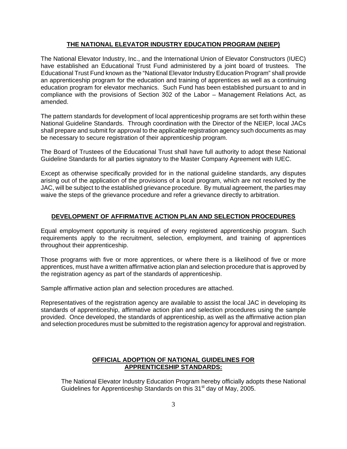#### **THE NATIONAL ELEVATOR INDUSTRY EDUCATION PROGRAM (NEIEP)**

The National Elevator Industry, Inc., and the International Union of Elevator Constructors (IUEC) have established an Educational Trust Fund administered by a joint board of trustees. The Educational Trust Fund known as the "National Elevator Industry Education Program" shall provide an apprenticeship program for the education and training of apprentices as well as a continuing education program for elevator mechanics. Such Fund has been established pursuant to and in compliance with the provisions of Section 302 of the Labor – Management Relations Act, as amended.

The pattern standards for development of local apprenticeship programs are set forth within these National Guideline Standards. Through coordination with the Director of the NEIEP, local JACs shall prepare and submit for approval to the applicable registration agency such documents as may be necessary to secure registration of their apprenticeship program.

The Board of Trustees of the Educational Trust shall have full authority to adopt these National Guideline Standards for all parties signatory to the Master Company Agreement with IUEC.

Except as otherwise specifically provided for in the national guideline standards, any disputes arising out of the application of the provisions of a local program, which are not resolved by the JAC, will be subject to the established grievance procedure. By mutual agreement, the parties may waive the steps of the grievance procedure and refer a grievance directly to arbitration.

# **DEVELOPMENT OF AFFIRMATIVE ACTION PLAN AND SELECTION PROCEDURES**

Equal employment opportunity is required of every registered apprenticeship program. Such requirements apply to the recruitment, selection, employment, and training of apprentices throughout their apprenticeship.

Those programs with five or more apprentices, or where there is a likelihood of five or more apprentices, must have a written affirmative action plan and selection procedure that is approved by the registration agency as part of the standards of apprenticeship.

Sample affirmative action plan and selection procedures are attached.

Representatives of the registration agency are available to assist the local JAC in developing its standards of apprenticeship, affirmative action plan and selection procedures using the sample provided. Once developed, the standards of apprenticeship, as well as the affirmative action plan and selection procedures must be submitted to the registration agency for approval and registration.

# **OFFICIAL ADOPTION OF NATIONAL GUIDELINES FOR APPRENTICESHIP STANDARDS:**

The National Elevator Industry Education Program hereby officially adopts these National Guidelines for Apprenticeship Standards on this 31<sup>st</sup> day of May, 2005.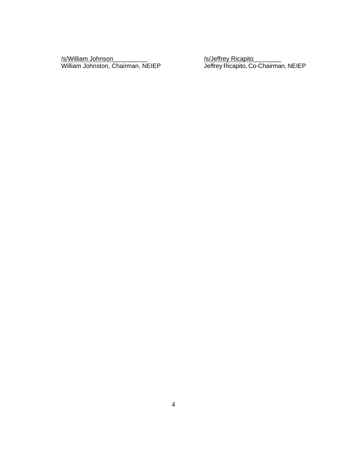/s/William Johnson<br>William Johnston, Chairman, NEIEP

/s/Jeffrey Ricapito<br>Jeffrey Ricapito, Co-Chairman, NEIEP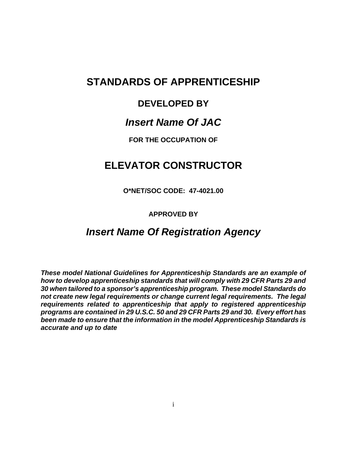# **STANDARDS OF APPRENTICESHIP**

# **DEVELOPED BY**

# *Insert Name Of JAC*

**FOR THE OCCUPATION OF** 

# **ELEVATOR CONSTRUCTOR**

**O\*NET/SOC CODE: 47-4021.00** 

# **APPROVED BY**

# *Insert Name Of Registration Agency*

*These model National Guidelines for Apprenticeship Standards are an example of how to develop apprenticeship standards that will comply with 29 CFR Parts 29 and 30 when tailored to a sponsor's apprenticeship program. These model Standards do not create new legal requirements or change current legal requirements. The legal requirements related to apprenticeship that apply to registered apprenticeship programs are contained in 29 U.S.C. 50 and 29 CFR Parts 29 and 30. Every effort has been made to ensure that the information in the model Apprenticeship Standards is accurate and up to date*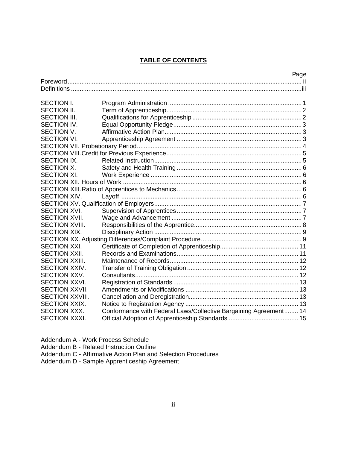# **TABLE OF CONTENTS**

| Page                   |  |                                                                  |  |  |
|------------------------|--|------------------------------------------------------------------|--|--|
|                        |  |                                                                  |  |  |
|                        |  |                                                                  |  |  |
|                        |  |                                                                  |  |  |
| <b>SECTION I.</b>      |  |                                                                  |  |  |
| <b>SECTION II.</b>     |  |                                                                  |  |  |
| <b>SECTION III.</b>    |  |                                                                  |  |  |
| SECTION IV.            |  |                                                                  |  |  |
| <b>SECTION V.</b>      |  |                                                                  |  |  |
| <b>SECTION VI.</b>     |  |                                                                  |  |  |
|                        |  |                                                                  |  |  |
|                        |  |                                                                  |  |  |
| SECTION IX.            |  |                                                                  |  |  |
| SECTION X.             |  |                                                                  |  |  |
| SECTION XI.            |  |                                                                  |  |  |
|                        |  |                                                                  |  |  |
|                        |  |                                                                  |  |  |
| <b>SECTION XIV.</b>    |  |                                                                  |  |  |
|                        |  |                                                                  |  |  |
| <b>SECTION XVI.</b>    |  |                                                                  |  |  |
| <b>SECTION XVII.</b>   |  |                                                                  |  |  |
| <b>SECTION XVIII.</b>  |  |                                                                  |  |  |
| <b>SECTION XIX.</b>    |  |                                                                  |  |  |
|                        |  |                                                                  |  |  |
| <b>SECTION XXI.</b>    |  |                                                                  |  |  |
| <b>SECTION XXII.</b>   |  |                                                                  |  |  |
| <b>SECTION XXIII.</b>  |  |                                                                  |  |  |
| <b>SECTION XXIV.</b>   |  |                                                                  |  |  |
| SECTION XXV.           |  |                                                                  |  |  |
| <b>SECTION XXVI.</b>   |  |                                                                  |  |  |
| <b>SECTION XXVII.</b>  |  |                                                                  |  |  |
| <b>SECTION XXVIII.</b> |  |                                                                  |  |  |
| <b>SECTION XXIX.</b>   |  |                                                                  |  |  |
| <b>SECTION XXX.</b>    |  | Conformance with Federal Laws/Collective Bargaining Agreement 14 |  |  |
| <b>SECTION XXXI.</b>   |  |                                                                  |  |  |
|                        |  |                                                                  |  |  |

Addendum A - Work Process Schedule

Addendum B - Related Instruction Outline

Addendum C - Affirmative Action Plan and Selection Procedures

Addendum D - Sample Apprenticeship Agreement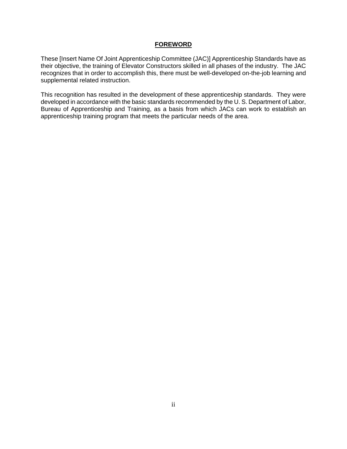#### **FOREWORD**

These [Insert Name Of Joint Apprenticeship Committee (JAC)] Apprenticeship Standards have as their objective, the training of Elevator Constructors skilled in all phases of the industry. The JAC recognizes that in order to accomplish this, there must be well-developed on-the-job learning and supplemental related instruction.

This recognition has resulted in the development of these apprenticeship standards. They were developed in accordance with the basic standards recommended by the U. S. Department of Labor, Bureau of Apprenticeship and Training, as a basis from which JACs can work to establish an apprenticeship training program that meets the particular needs of the area.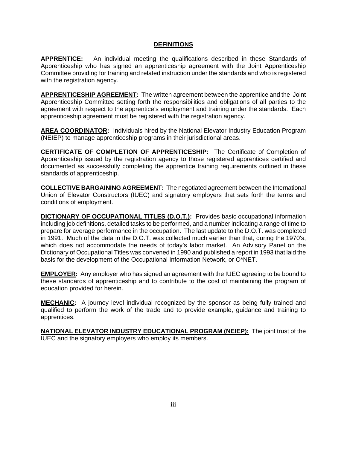### **DEFINITIONS**

**APPRENTICE:** An individual meeting the qualifications described in these Standards of Apprenticeship who has signed an apprenticeship agreement with the Joint Apprenticeship Committee providing for training and related instruction under the standards and who is registered with the registration agency.

**APPRENTICESHIP AGREEMENT:** The written agreement between the apprentice and the Joint Apprenticeship Committee setting forth the responsibilities and obligations of all parties to the agreement with respect to the apprentice's employment and training under the standards. Each apprenticeship agreement must be registered with the registration agency.

**AREA COORDINATOR:** Individuals hired by the National Elevator Industry Education Program (NEIEP) to manage apprenticeship programs in their jurisdictional areas.

**CERTIFICATE OF COMPLETION OF APPRENTICESHIP:** The Certificate of Completion of Apprenticeship issued by the registration agency to those registered apprentices certified and documented as successfully completing the apprentice training requirements outlined in these standards of apprenticeship.

**COLLECTIVE BARGAINING AGREEMENT:** The negotiated agreement between the International Union of Elevator Constructors (IUEC) and signatory employers that sets forth the terms and conditions of employment.

**DICTIONARY OF OCCUPATIONAL TITLES (D.O.T.):** Provides basic occupational information including job definitions, detailed tasks to be performed, and a number indicating a range of time to prepare for average performance in the occupation. The last update to the D.O.T. was completed in 1991. Much of the data in the D.O.T. was collected much earlier than that, during the 1970's, which does not accommodate the needs of today's labor market. An Advisory Panel on the Dictionary of Occupational Titles was convened in 1990 and published a report in 1993 that laid the basis for the development of the Occupational Information Network, or O\*NET.

**EMPLOYER:** Any employer who has signed an agreement with the IUEC agreeing to be bound to these standards of apprenticeship and to contribute to the cost of maintaining the program of education provided for herein.

**MECHANIC:** A journey level individual recognized by the sponsor as being fully trained and qualified to perform the work of the trade and to provide example, guidance and training to apprentices.

**NATIONAL ELEVATOR INDUSTRY EDUCATIONAL PROGRAM (NEIEP):** The joint trust of the IUEC and the signatory employers who employ its members.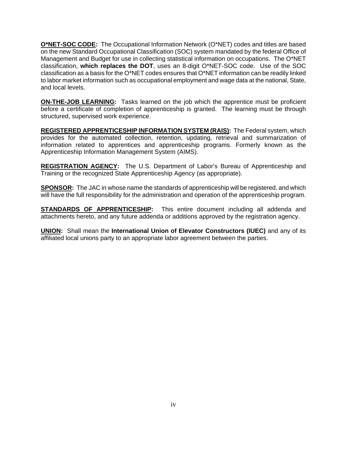**O\*NET-SOC CODE:** The Occupational Information Network (O\*NET) codes and titles are based on the new Standard Occupational Classification (SOC) system mandated by the federal Office of Management and Budget for use in collecting statistical information on occupations. The O\*NET classification, **which replaces the DOT**, uses an 8-digit O\*NET-SOC code. Use of the SOC classification as a basis for the O\*NET codes ensures that O\*NET information can be readily linked to labor market information such as occupational employment and wage data at the national, State, and local levels.

**ON-THE-JOB LEARNING:** Tasks learned on the job which the apprentice must be proficient before a certificate of completion of apprenticeship is granted. The learning must be through structured, supervised work experience.

**REGISTERED APPRENTICESHIP INFORMATION SYSTEM (RAIS):** The Federal system, which provides for the automated collection, retention, updating, retrieval and summarization of information related to apprentices and apprenticeship programs. Formerly known as the Apprenticeship Information Management System (AIMS).

**REGISTRATION AGENCY:** The U.S. Department of Labor's Bureau of Apprenticeship and Training or the recognized State Apprenticeship Agency (as appropriate).

**SPONSOR:** The JAC in whose name the standards of apprenticeship will be registered, and which will have the full responsibility for the administration and operation of the apprenticeship program.

**STANDARDS OF APPRENTICESHIP:** This entire document including all addenda and attachments hereto, and any future addenda or additions approved by the registration agency.

**UNION:** Shall mean the **International Union of Elevator Constructors (IUEC)** and any of its affiliated local unions party to an appropriate labor agreement between the parties.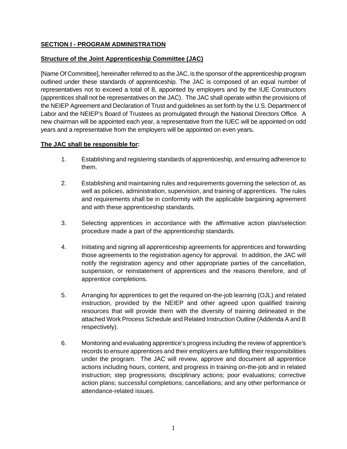# **SECTION I - PROGRAM ADMINISTRATION**

# **Structure of the Joint Apprenticeship Committee (JAC)**

[Name Of Committee], hereinafter referred to as the JAC, is the sponsor of the apprenticeship program outlined under these standards of apprenticeship. The JAC is composed of an equal number of representatives not to exceed a total of 8, appointed by employers and by the IUE Constructors (apprentices shall not be representatives on the JAC). The JAC shall operate within the provisions of the NEIEP Agreement and Declaration of Trust and guidelines as set forth by the U.S. Department of Labor and the NEIEP's Board of Trustees as promulgated through the National Directors Office. A new chairman will be appointed each year, a representative from the IUEC will be appointed on odd years and a representative from the employers will be appointed on even years**.** 

# **The JAC shall be responsible for:**

- 1. Establishing and registering standards of apprenticeship, and ensuring adherence to them.
- 2. Establishing and maintaining rules and requirements governing the selection of, as well as policies, administration, supervision, and training of apprentices. The rules and requirements shall be in conformity with the applicable bargaining agreement and with these apprenticeship standards.
- 3. Selecting apprentices in accordance with the affirmative action plan/selection procedure made a part of the apprenticeship standards.
- 4. Initiating and signing all apprenticeship agreements for apprentices and forwarding those agreements to the registration agency for approval. In addition, the JAC will notify the registration agency and other appropriate parties of the cancellation, suspension, or reinstatement of apprentices and the reasons therefore, and of apprentice completions.
- 5. Arranging for apprentices to get the required on-the-job learning (OJL) and related instruction, provided by the NEIEP and other agreed upon qualified training resources that will provide them with the diversity of training delineated in the attached Work Process Schedule and Related Instruction Outline (Addenda A and B respectively).
- 6. Monitoring and evaluating apprentice's progress including the review of apprentice's records to ensure apprentices and their employers are fulfilling their responsibilities under the program. The JAC will review, approve and document all apprentice actions including hours, content, and progress in training on-the-job and in related instruction; step progressions; disciplinary actions; poor evaluations; corrective action plans; successful completions; cancellations; and any other performance or attendance-related issues.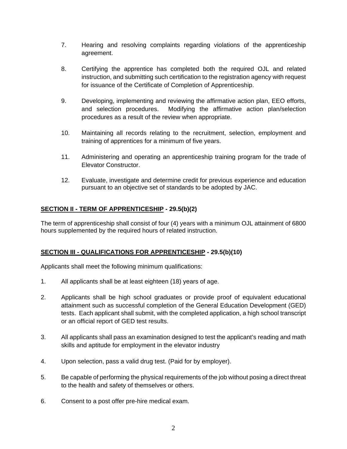- 7. Hearing and resolving complaints regarding violations of the apprenticeship agreement.
- 8. Certifying the apprentice has completed both the required OJL and related instruction, and submitting such certification to the registration agency with request for issuance of the Certificate of Completion of Apprenticeship.
- 9. Developing, implementing and reviewing the affirmative action plan, EEO efforts, and selection procedures. Modifying the affirmative action plan/selection procedures as a result of the review when appropriate.
- 10. Maintaining all records relating to the recruitment, selection, employment and training of apprentices for a minimum of five years.
- 11. Administering and operating an apprenticeship training program for the trade of Elevator Constructor.
- 12. Evaluate, investigate and determine credit for previous experience and education pursuant to an objective set of standards to be adopted by JAC.

# **SECTION II - TERM OF APPRENTICESHIP - 29.5(b)(2)**

The term of apprenticeship shall consist of four (4) years with a minimum OJL attainment of 6800 hours supplemented by the required hours of related instruction.

# **SECTION III - QUALIFICATIONS FOR APPRENTICESHIP - 29.5(b)(10)**

Applicants shall meet the following minimum qualifications:

- 1. All applicants shall be at least eighteen (18) years of age.
- 2. Applicants shall be high school graduates or provide proof of equivalent educational attainment such as successful completion of the General Education Development (GED) tests. Each applicant shall submit, with the completed application, a high school transcript or an official report of GED test results.
- 3. All applicants shall pass an examination designed to test the applicant's reading and math skills and aptitude for employment in the elevator industry
- 4. Upon selection, pass a valid drug test. (Paid for by employer).
- 5. Be capable of performing the physical requirements of the job without posing a direct threat to the health and safety of themselves or others.
- 6. Consent to a post offer pre-hire medical exam.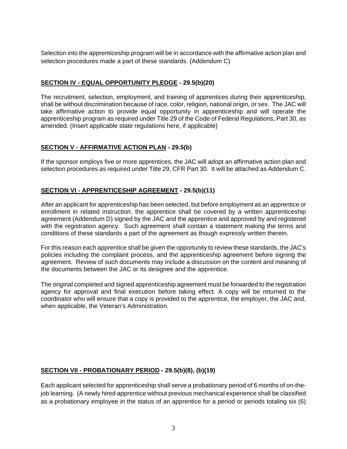Selection into the apprenticeship program will be in accordance with the affirmative action plan and selection procedures made a part of these standards. (Addendum C)

# **SECTION IV - EQUAL OPPORTUNITY PLEDGE - 29.5(b)(20)**

 The recruitment, selection, employment, and training of apprentices during their apprenticeship, shall be without discrimination because of race, color, religion, national origin, or sex. The JAC will take affirmative action to provide equal opportunity in apprenticeship and will operate the apprenticeship program as required under Title 29 of the Code of Federal Regulations, Part 30, as amended. (Insert applicable state regulations here, if applicable)

# **SECTION V - AFFIRMATIVE ACTION PLAN - 29.5(b)**

If the sponsor employs five or more apprentices, the JAC will adopt an affirmative action plan and selection procedures as required under Title 29, CFR Part 30. It will be attached as Addendum C.

# **SECTION VI - APPRENTICESHIP AGREEMENT - 29.5(b)(11)**

 After an applicant for apprenticeship has been selected, but before employment as an apprentice or enrollment in related instruction, the apprentice shall be covered by a written apprenticeship agreement (Addendum D) signed by the JAC and the apprentice and approved by and registered with the registration agency. Such agreement shall contain a statement making the terms and conditions of these standards a part of the agreement as though expressly written therein.

For this reason each apprentice shall be given the opportunity to review these standards, the JAC's policies including the complaint process, and the apprenticeship agreement before signing the agreement. Review of such documents may include a discussion on the content and meaning of the documents between the JAC or its designee and the apprentice.

The original completed and signed apprenticeship agreement must be forwarded to the registration agency for approval and final execution before taking effect. A copy will be returned to the coordinator who will ensure that a copy is provided to the apprentice, the employer, the JAC and, when applicable, the Veteran's Administration.

# **SECTION VII - PROBATIONARY PERIOD - 29.5(b)(8), (b)(19)**

Each applicant selected for apprenticeship shall serve a probationary period of 6 months of on-thejob learning. (A newly hired apprentice without previous mechanical experience shall be classified as a probationary employee in the status of an apprentice for a period or periods totaling six (6)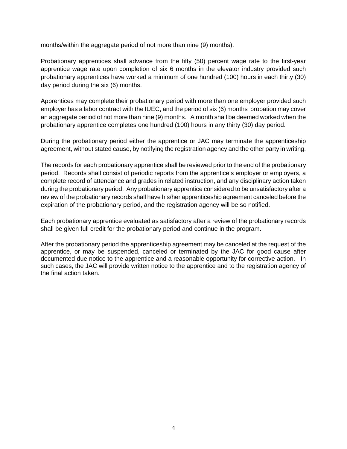months/within the aggregate period of not more than nine (9) months).

Probationary apprentices shall advance from the fifty (50) percent wage rate to the first-year apprentice wage rate upon completion of six 6 months in the elevator industry provided such probationary apprentices have worked a minimum of one hundred (100) hours in each thirty (30) day period during the six (6) months.

Apprentices may complete their probationary period with more than one employer provided such employer has a labor contract with the IUEC, and the period of six (6) months probation may cover an aggregate period of not more than nine (9) months. A month shall be deemed worked when the probationary apprentice completes one hundred (100) hours in any thirty (30) day period.

During the probationary period either the apprentice or JAC may terminate the apprenticeship agreement, without stated cause, by notifying the registration agency and the other party in writing.

The records for each probationary apprentice shall be reviewed prior to the end of the probationary period. Records shall consist of periodic reports from the apprentice's employer or employers, a complete record of attendance and grades in related instruction, and any disciplinary action taken during the probationary period. Any probationary apprentice considered to be unsatisfactory after a review of the probationary records shall have his/her apprenticeship agreement canceled before the expiration of the probationary period, and the registration agency will be so notified.

Each probationary apprentice evaluated as satisfactory after a review of the probationary records shall be given full credit for the probationary period and continue in the program.

 After the probationary period the apprenticeship agreement may be canceled at the request of the apprentice, or may be suspended, canceled or terminated by the JAC for good cause after documented due notice to the apprentice and a reasonable opportunity for corrective action. In such cases, the JAC will provide written notice to the apprentice and to the registration agency of the final action taken.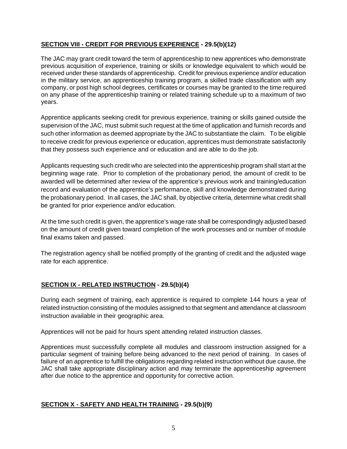# **SECTION VIII - CREDIT FOR PREVIOUS EXPERIENCE - 29.5(b)(12)**

 The JAC may grant credit toward the term of apprenticeship to new apprentices who demonstrate previous acquisition of experience, training or skills or knowledge equivalent to which would be received under these standards of apprenticeship. Credit for previous experience and/or education in the military service, an apprenticeship training program, a skilled trade classification with any company, or post high school degrees, certificates or courses may be granted to the time required on any phase of the apprenticeship training or related training schedule up to a maximum of two years.

Apprentice applicants seeking credit for previous experience, training or skills gained outside the supervision of the JAC, must submit such request at the time of application and furnish records and such other information as deemed appropriate by the JAC to substantiate the claim. To be eligible to receive credit for previous experience or education, apprentices must demonstrate satisfactorily that they possess such experience and or education and are able to do the job.

Applicants requesting such credit who are selected into the apprenticeship program shall start at the beginning wage rate. Prior to completion of the probationary period, the amount of credit to be awarded will be determined after review of the apprentice's previous work and training/education record and evaluation of the apprentice's performance, skill and knowledge demonstrated during the probationary period. In all cases, the JAC shall, by objective criteria, determine what credit shall be granted for prior experience and/or education.

At the time such credit is given, the apprentice's wage rate shall be correspondingly adjusted based on the amount of credit given toward completion of the work processes and or number of module final exams taken and passed.

The registration agency shall be notified promptly of the granting of credit and the adjusted wage rate for each apprentice.

# **SECTION IX - RELATED INSTRUCTION - 29.5(b)(4)**

During each segment of training, each apprentice is required to complete 144 hours a year of related instruction consisting of the modules assigned to that segment and attendance at classroom instruction available in their geographic area.

Apprentices will not be paid for hours spent attending related instruction classes.

Apprentices must successfully complete all modules and classroom instruction assigned for a particular segment of training before being advanced to the next period of training. In cases of failure of an apprentice to fulfill the obligations regarding related instruction without due cause, the JAC shall take appropriate disciplinary action and may terminate the apprenticeship agreement after due notice to the apprentice and opportunity for corrective action.

# **SECTION X - SAFETY AND HEALTH TRAINING - 29.5(b)(9)**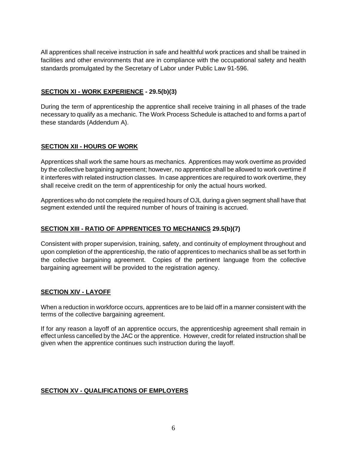All apprentices shall receive instruction in safe and healthful work practices and shall be trained in facilities and other environments that are in compliance with the occupational safety and health standards promulgated by the Secretary of Labor under Public Law 91-596.

# **SECTION XI - WORK EXPERIENCE - 29.5(b)(3)**

During the term of apprenticeship the apprentice shall receive training in all phases of the trade necessary to qualify as a mechanic. The Work Process Schedule is attached to and forms a part of these standards (Addendum A).

# **SECTION XII - HOURS OF WORK**

Apprentices shall work the same hours as mechanics. Apprentices may work overtime as provided by the collective bargaining agreement; however, no apprentice shall be allowed to work overtime if it interferes with related instruction classes. In case apprentices are required to work overtime, they shall receive credit on the term of apprenticeship for only the actual hours worked.

Apprentices who do not complete the required hours of OJL during a given segment shall have that segment extended until the required number of hours of training is accrued.

# **SECTION XIII - RATIO OF APPRENTICES TO MECHANICS 29.5(b)(7)**

Consistent with proper supervision, training, safety, and continuity of employment throughout and upon completion of the apprenticeship, the ratio of apprentices to mechanics shall be as set forth in the collective bargaining agreement. Copies of the pertinent language from the collective bargaining agreement will be provided to the registration agency.

# **SECTION XIV - LAYOFF**

When a reduction in workforce occurs, apprentices are to be laid off in a manner consistent with the terms of the collective bargaining agreement.

If for any reason a layoff of an apprentice occurs, the apprenticeship agreement shall remain in effect unless cancelled by the JAC or the apprentice. However, credit for related instruction shall be given when the apprentice continues such instruction during the layoff.

# **SECTION XV - QUALIFICATIONS OF EMPLOYERS**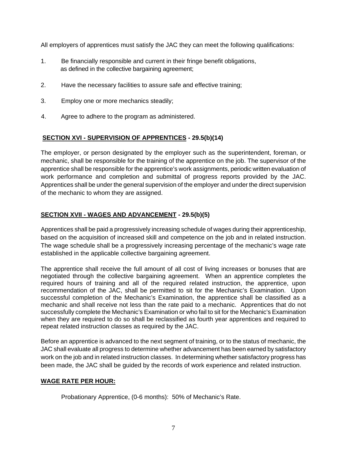All employers of apprentices must satisfy the JAC they can meet the following qualifications:

- 1. Be financially responsible and current in their fringe benefit obligations, as defined in the collective bargaining agreement;
- 2. Have the necessary facilities to assure safe and effective training;
- 3. Employ one or more mechanics steadily;
- 4. Agree to adhere to the program as administered.

# **SECTION XVI - SUPERVISION OF APPRENTICES - 29.5(b)(14)**

The employer, or person designated by the employer such as the superintendent, foreman, or mechanic, shall be responsible for the training of the apprentice on the job. The supervisor of the apprentice shall be responsible for the apprentice's work assignments, periodic written evaluation of work performance and completion and submittal of progress reports provided by the JAC. Apprentices shall be under the general supervision of the employer and under the direct supervision of the mechanic to whom they are assigned.

# **SECTION XVII - WAGES AND ADVANCEMENT - 29.5(b)(5)**

Apprentices shall be paid a progressively increasing schedule of wages during their apprenticeship, based on the acquisition of increased skill and competence on the job and in related instruction. The wage schedule shall be a progressively increasing percentage of the mechanic's wage rate established in the applicable collective bargaining agreement.

The apprentice shall receive the full amount of all cost of living increases or bonuses that are negotiated through the collective bargaining agreement. When an apprentice completes the required hours of training and all of the required related instruction, the apprentice, upon recommendation of the JAC, shall be permitted to sit for the Mechanic's Examination. Upon successful completion of the Mechanic's Examination, the apprentice shall be classified as a mechanic and shall receive not less than the rate paid to a mechanic. Apprentices that do not successfully complete the Mechanic's Examination or who fail to sit for the Mechanic's Examination when they are required to do so shall be reclassified as fourth year apprentices and required to repeat related instruction classes as required by the JAC.

Before an apprentice is advanced to the next segment of training, or to the status of mechanic, the JAC shall evaluate all progress to determine whether advancement has been earned by satisfactory work on the job and in related instruction classes. In determining whether satisfactory progress has been made, the JAC shall be guided by the records of work experience and related instruction.

# **WAGE RATE PER HOUR:**

Probationary Apprentice, (0-6 months): 50% of Mechanic's Rate.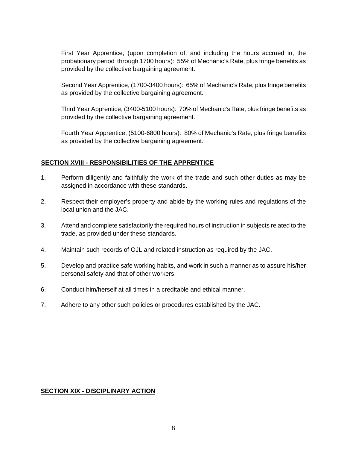First Year Apprentice, (upon completion of, and including the hours accrued in, the probationary period through 1700 hours): 55% of Mechanic's Rate, plus fringe benefits as provided by the collective bargaining agreement.

Second Year Apprentice, (1700-3400 hours): 65% of Mechanic's Rate, plus fringe benefits as provided by the collective bargaining agreement.

Third Year Apprentice, (3400-5100 hours): 70% of Mechanic's Rate, plus fringe benefits as provided by the collective bargaining agreement.

Fourth Year Apprentice, (5100-6800 hours): 80% of Mechanic's Rate, plus fringe benefits as provided by the collective bargaining agreement.

# **SECTION XVIII - RESPONSIBILITIES OF THE APPRENTICE**

- 1. Perform diligently and faithfully the work of the trade and such other duties as may be assigned in accordance with these standards.
- 2. Respect their employer's property and abide by the working rules and regulations of the local union and the JAC.
- 3. Attend and complete satisfactorily the required hours of instruction in subjects related to the trade, as provided under these standards.
- 4. Maintain such records of OJL and related instruction as required by the JAC.
- 5. Develop and practice safe working habits, and work in such a manner as to assure his/her personal safety and that of other workers.
- 6. Conduct him/herself at all times in a creditable and ethical manner.
- 7. Adhere to any other such policies or procedures established by the JAC.

# **SECTION XIX - DISCIPLINARY ACTION**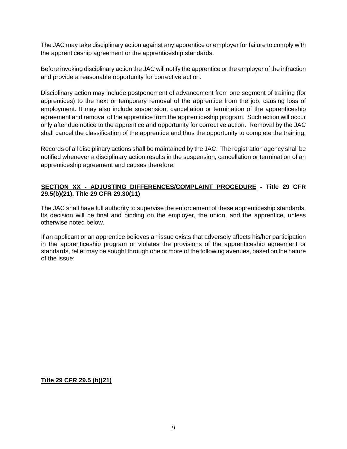The JAC may take disciplinary action against any apprentice or employer for failure to comply with the apprenticeship agreement or the apprenticeship standards.

Before invoking disciplinary action the JAC will notify the apprentice or the employer of the infraction and provide a reasonable opportunity for corrective action.

Disciplinary action may include postponement of advancement from one segment of training (for apprentices) to the next or temporary removal of the apprentice from the job, causing loss of employment. It may also include suspension, cancellation or termination of the apprenticeship agreement and removal of the apprentice from the apprenticeship program. Such action will occur only after due notice to the apprentice and opportunity for corrective action. Removal by the JAC shall cancel the classification of the apprentice and thus the opportunity to complete the training.

Records of all disciplinary actions shall be maintained by the JAC. The registration agency shall be notified whenever a disciplinary action results in the suspension, cancellation or termination of an apprenticeship agreement and causes therefore.

# **SECTION XX - ADJUSTING DIFFERENCES/COMPLAINT PROCEDURE - Title 29 CFR 29.5(b)(21), Title 29 CFR 29.30(11)**

The JAC shall have full authority to supervise the enforcement of these apprenticeship standards. Its decision will be final and binding on the employer, the union, and the apprentice, unless otherwise noted below.

 If an applicant or an apprentice believes an issue exists that adversely affects his/her participation in the apprenticeship program or violates the provisions of the apprenticeship agreement or standards, relief may be sought through one or more of the following avenues, based on the nature of the issue:

 **Title 29 CFR 29.5 (b)(21)**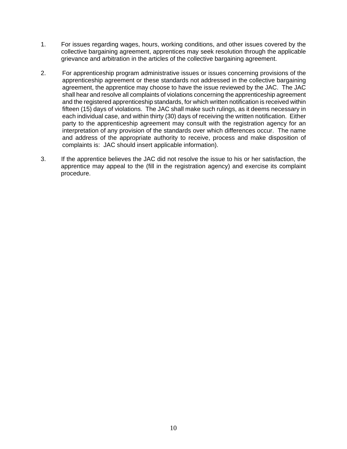- 1. For issues regarding wages, hours, working conditions, and other issues covered by the collective bargaining agreement, apprentices may seek resolution through the applicable grievance and arbitration in the articles of the collective bargaining agreement.
- 2. For apprenticeship program administrative issues or issues concerning provisions of the apprenticeship agreement or these standards not addressed in the collective bargaining agreement, the apprentice may choose to have the issue reviewed by the JAC. The JAC shall hear and resolve all complaints of violations concerning the apprenticeship agreement and the registered apprenticeship standards, for which written notification is received within fifteen (15) days of violations. The JAC shall make such rulings, as it deems necessary in each individual case, and within thirty (30) days of receiving the written notification. Either party to the apprenticeship agreement may consult with the registration agency for an interpretation of any provision of the standards over which differences occur. The name and address of the appropriate authority to receive, process and make disposition of complaints is: JAC should insert applicable information).
- 3. If the apprentice believes the JAC did not resolve the issue to his or her satisfaction, the apprentice may appeal to the (fill in the registration agency) and exercise its complaint procedure.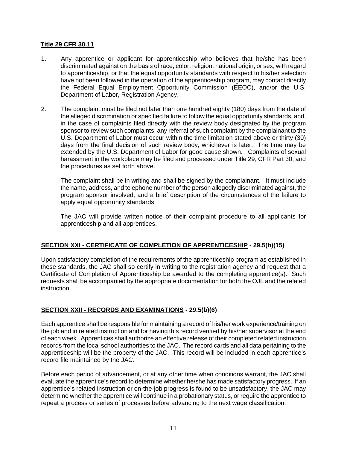# **Title 29 CFR 30.11**

- 1. Any apprentice or applicant for apprenticeship who believes that he/she has been discriminated against on the basis of race, color, religion, national origin, or sex, with regard to apprenticeship, or that the equal opportunity standards with respect to his/her selection have not been followed in the operation of the apprenticeship program, may contact directly the Federal Equal Employment Opportunity Commission (EEOC), and/or the U.S. Department of Labor, Registration Agency.
- 2. The complaint must be filed not later than one hundred eighty (180) days from the date of the alleged discrimination or specified failure to follow the equal opportunity standards, and, in the case of complaints filed directly with the review body designated by the program sponsor to review such complaints, any referral of such complaint by the complainant to the U.S. Department of Labor must occur within the time limitation stated above or thirty (30) days from the final decision of such review body, whichever is later. The time may be extended by the U.S. Department of Labor for good cause shown. Complaints of sexual harassment in the workplace may be filed and processed under Title 29, CFR Part 30, and the procedures as set forth above.

 The complaint shall be in writing and shall be signed by the complainant. It must include the name, address, and telephone number of the person allegedly discriminated against, the program sponsor involved, and a brief description of the circumstances of the failure to apply equal opportunity standards.

The JAC will provide written notice of their complaint procedure to all applicants for apprenticeship and all apprentices.

# **SECTION XXI - CERTIFICATE OF COMPLETION OF APPRENTICESHIP - 29.5(b)(15)**

 Upon satisfactory completion of the requirements of the apprenticeship program as established in these standards, the JAC shall so certify in writing to the registration agency and request that a Certificate of Completion of Apprenticeship be awarded to the completing apprentice(s). Such requests shall be accompanied by the appropriate documentation for both the OJL and the related instruction.

# **SECTION XXII - RECORDS AND EXAMINATIONS - 29.5(b)(6)**

 Each apprentice shall be responsible for maintaining a record of his/her work experience/training on the job and in related instruction and for having this record verified by his/her supervisor at the end of each week. Apprentices shall authorize an effective release of their completed related instruction records from the local school authorities to the JAC. The record cards and all data pertaining to the apprenticeship will be the property of the JAC. This record will be included in each apprentice's record file maintained by the JAC.

 Before each period of advancement, or at any other time when conditions warrant, the JAC shall evaluate the apprentice's record to determine whether he/she has made satisfactory progress. If an apprentice's related instruction or on-the-job progress is found to be unsatisfactory, the JAC may determine whether the apprentice will continue in a probationary status, or require the apprentice to repeat a process or series of processes before advancing to the next wage classification.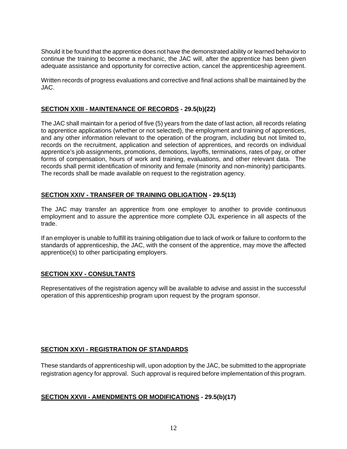Should it be found that the apprentice does not have the demonstrated ability or learned behavior to continue the training to become a mechanic, the JAC will, after the apprentice has been given adequate assistance and opportunity for corrective action, cancel the apprenticeship agreement.

 Written records of progress evaluations and corrective and final actions shall be maintained by the JAC.

# **SECTION XXIII - MAINTENANCE OF RECORDS - 29.5(b)(22)**

 The JAC shall maintain for a period of five (5) years from the date of last action, all records relating to apprentice applications (whether or not selected), the employment and training of apprentices, and any other information relevant to the operation of the program, including but not limited to, records on the recruitment, application and selection of apprentices, and records on individual apprentice's job assignments, promotions, demotions, layoffs, terminations, rates of pay, or other forms of compensation, hours of work and training, evaluations, and other relevant data. The records shall permit identification of minority and female (minority and non-minority) participants. The records shall be made available on request to the registration agency.

# **SECTION XXIV - TRANSFER OF TRAINING OBLIGATION - 29.5(13)**

 The JAC may transfer an apprentice from one employer to another to provide continuous employment and to assure the apprentice more complete OJL experience in all aspects of the trade.

 If an employer is unable to fulfill its training obligation due to lack of work or failure to conform to the standards of apprenticeship, the JAC, with the consent of the apprentice, may move the affected apprentice(s) to other participating employers.

# **SECTION XXV - CONSULTANTS**

Representatives of the registration agency will be available to advise and assist in the successful operation of this apprenticeship program upon request by the program sponsor.

# **SECTION XXVI - REGISTRATION OF STANDARDS**

These standards of apprenticeship will, upon adoption by the JAC, be submitted to the appropriate registration agency for approval. Such approval is required before implementation of this program.

# **SECTION XXVII - AMENDMENTS OR MODIFICATIONS - 29.5(b)(17)**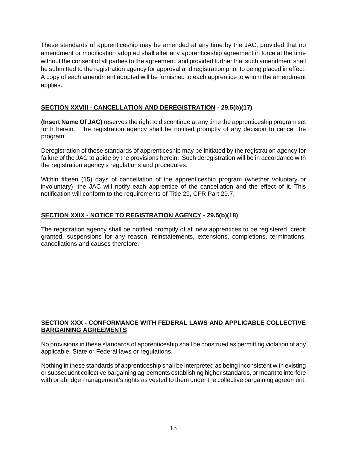These standards of apprenticeship may be amended at any time by the JAC, provided that no amendment or modification adopted shall alter any apprenticeship agreement in force at the time without the consent of all parties to the agreement, and provided further that such amendment shall be submitted to the registration agency for approval and registration prior to being placed in effect. A copy of each amendment adopted will be furnished to each apprentice to whom the amendment applies.

# **SECTION XXVIII - CANCELLATION AND DEREGISTRATION - 29.5(b)(17)**

 **(Insert Name Of JAC)** reserves the right to discontinue at any time the apprenticeship program set forth herein. The registration agency shall be notified promptly of any decision to cancel the program.

 Deregistration of these standards of apprenticeship may be initiated by the registration agency for failure of the JAC to abide by the provisions herein. Such deregistration will be in accordance with the registration agency's regulations and procedures.

 Within fifteen (15) days of cancellation of the apprenticeship program (whether voluntary or involuntary), the JAC will notify each apprentice of the cancellation and the effect of it. This notification will conform to the requirements of Title 29, CFR Part 29.7.

# **SECTION XXIX - NOTICE TO REGISTRATION AGENCY - 29.5(b)(18)**

 The registration agency shall be notified promptly of all new apprentices to be registered, credit granted, suspensions for any reason, reinstatements, extensions, completions, terminations, cancellations and causes therefore.

# **SECTION XXX - CONFORMANCE WITH FEDERAL LAWS AND APPLICABLE COLLECTIVE BARGAINING AGREEMENTS**

 No provisions in these standards of apprenticeship shall be construed as permitting violation of any applicable, State or Federal laws or regulations.

 Nothing in these standards of apprenticeship shall be interpreted as being inconsistent with existing or subsequent collective bargaining agreements establishing higher standards, or meant to interfere with or abridge management's rights as vested to them under the collective bargaining agreement.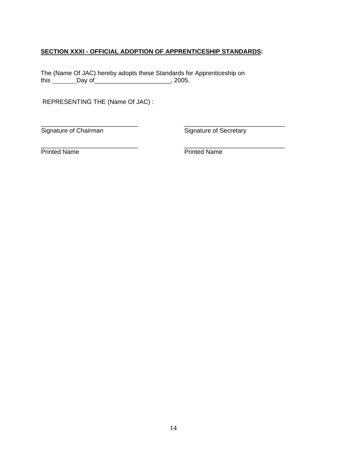# **SECTION XXXI - OFFICIAL ADOPTION OF APPRENTICESHIP STANDARDS:**

The (Name Of JAC) hereby adopts these Standards for Apprenticeship on this \_\_\_\_\_\_\_Day of \_\_\_\_\_\_\_\_\_\_\_\_\_\_\_\_\_\_\_\_\_\_\_\_\_, 2005.

REPRESENTING THE (Name Of JAC) :

 \_\_\_\_\_\_\_\_\_\_\_\_\_\_\_\_\_\_\_\_\_\_\_\_\_\_\_\_ \_\_\_\_\_\_\_\_\_\_\_\_\_\_\_\_\_\_\_\_\_\_\_\_\_\_\_\_\_ Signature of Chairman Signature of Secretary

\_\_\_\_\_\_\_\_\_\_\_\_\_\_\_\_\_\_\_\_\_\_\_\_\_\_\_\_ \_\_\_\_\_\_\_\_\_\_\_\_\_\_\_\_\_\_\_\_\_\_\_\_\_\_\_\_\_ Printed Name **Printed Name**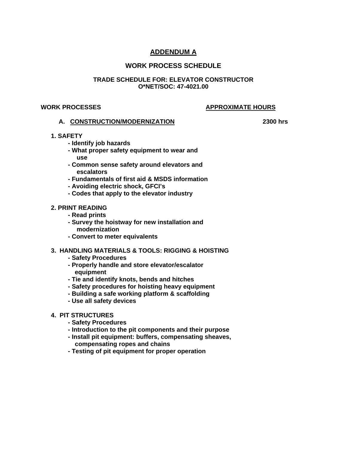# **ADDENDUM A**

# **WORK PROCESS SCHEDULE**

#### **TRADE SCHEDULE FOR: ELEVATOR CONSTRUCTOR O\*NET/SOC: 47-4021.00**

#### **WORK PROCESSES APPROXIMATE HOURS**

#### **A. CONSTRUCTION/MODERNIZATION 2300 hrs**

#### **1. SAFETY**

- **Identify job hazards**
- **What proper safety equipment to wear and use**
- **Common sense safety around elevators and escalators**
- **Fundamentals of first aid & MSDS information**
- **Avoiding electric shock, GFCI's**
- **Codes that apply to the elevator industry**

#### **2. PRINT READING**

- **Read prints**
- **Survey the hoistway for new installation and modernization**
- **Convert to meter equivalents**

# **3. HANDLING MATERIALS & TOOLS: RIGGING & HOISTING**

- **Safety Procedures**
- **Properly handle and store elevator/escalator equipment**
- **Tie and identify knots, bends and hitches**
- **Safety procedures for hoisting heavy equipment**
- **Building a safe working platform & scaffolding**
- **Use all safety devices**

#### **4. PIT STRUCTURES**

- **Safety Procedures**
- **Introduction to the pit components and their purpose**
- **Install pit equipment: buffers, compensating sheaves, compensating ropes and chains**
- **Testing of pit equipment for proper operation**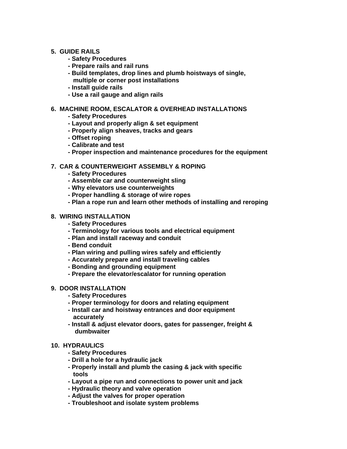#### **5. GUIDE RAILS**

- **Safety Procedures**
- **Prepare rails and rail runs**
- **Build templates, drop lines and plumb hoistways of single, multiple or corner post installations**
- **Install guide rails**
- **Use a rail gauge and align rails**

#### **6. MACHINE ROOM, ESCALATOR & OVERHEAD INSTALLATIONS**

- **Safety Procedures**
- **Layout and properly align & set equipment**
- **Properly align sheaves, tracks and gears**
- **Offset roping**
- **Calibrate and test**
- **Proper inspection and maintenance procedures for the equipment**

# **7. CAR & COUNTERWEIGHT ASSEMBLY & ROPING**

- **Safety Procedures**
- **Assemble car and counterweight sling**
- **Why elevators use counterweights**
- **Proper handling & storage of wire ropes**
- **Plan a rope run and learn other methods of installing and reroping**

#### **8. WIRING INSTALLATION**

- **Safety Procedures**
- **Terminology for various tools and electrical equipment**
- **Plan and install raceway and conduit**
- **Bend conduit**
- **Plan wiring and pulling wires safely and efficiently**
- **Accurately prepare and install traveling cables**
- **Bonding and grounding equipment**
- **Prepare the elevator/escalator for running operation**

#### **9. DOOR INSTALLATION**

- **Safety Procedures**
- **Proper terminology for doors and relating equipment**
- **Install car and hoistway entrances and door equipment accurately**
- **Install & adjust elevator doors, gates for passenger, freight & dumbwaiter**

#### **10. HYDRAULICS**

- **Safety Procedures**
- **Drill a hole for a hydraulic jack**
- **Properly install and plumb the casing & jack with specific tools**
- **Layout a pipe run and connections to power unit and jack**
- **Hydraulic theory and valve operation**
- **Adjust the valves for proper operation**
- **Troubleshoot and isolate system problems**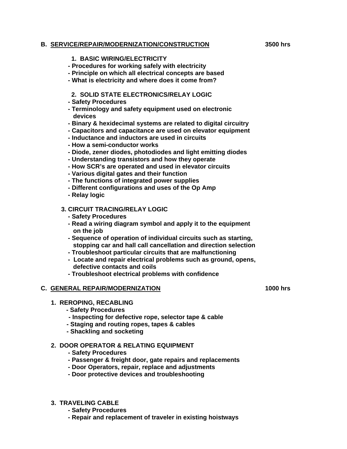#### **B. SERVICE/REPAIR/MODERNIZATION/CONSTRUCTION 3500 hrs**

#### **1. BASIC WIRING/ELECTRICITY**

- **Procedures for working safely with electricity**
- **Principle on which all electrical concepts are based**
- **What is electricity and where does it come from?**

### **2. SOLID STATE ELECTRONICS/RELAY LOGIC**

- **Safety Procedures**
- **Terminology and safety equipment used on electronic devices**
- **Binary & hexidecimal systems are related to digital circuitry**
- **Capacitors and capacitance are used on elevator equipment**
- **Inductance and inductors are used in circuits**
- **How a semi-conductor works**
- **Diode, zener diodes, photodiodes and light emitting diodes**
- **Understanding transistors and how they operate**
- **How SCR's are operated and used in elevator circuits**
- **Various digital gates and their function**
- **The functions of integrated power supplies**
- **Different configurations and uses of the Op Amp**
- **Relay logic**

# **3. CIRCUIT TRACING/RELAY LOGIC**

- **Safety Procedures**
- **Read a wiring diagram symbol and apply it to the equipment on the job**
- **Sequence of operation of individual circuits such as starting, stopping car and hall call cancellation and direction selection**
- **Troubleshoot particular circuits that are malfunctioning**
- **Locate and repair electrical problems such as ground, opens, defective contacts and coils**
- **Troubleshoot electrical problems with confidence**

#### **C. GENERAL REPAIR/MODERNIZATION 1000 hrs**

#### **1. REROPING, RECABLING**

- **Safety Procedures**
- **Inspecting for defective rope, selector tape & cable**
- **Staging and routing ropes, tapes & cables**
- **Shackling and socketing**

# **2. DOOR OPERATOR & RELATING EQUIPMENT**

- **Safety Procedures**
- **Passenger & freight door, gate repairs and replacements**
- **Door Operators, repair, replace and adjustments**
- **Door protective devices and troubleshooting**
- **3. TRAVELING CABLE** 
	- **Safety Procedures**
	- **Repair and replacement of traveler in existing hoistways**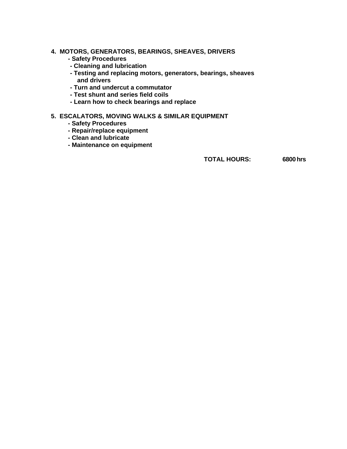#### **4. MOTORS, GENERATORS, BEARINGS, SHEAVES, DRIVERS**

- **Safety Procedures**
- **Cleaning and lubrication**
- **Testing and replacing motors, generators, bearings, sheaves and drivers**
- **Turn and undercut a commutator**
- **Test shunt and series field coils**
- **Learn how to check bearings and replace**

# **5. ESCALATORS, MOVING WALKS & SIMILAR EQUIPMENT**

- **Safety Procedures**
- **Repair/replace equipment**
- **Clean and lubricate**
- **Maintenance on equipment**

**TOTAL HOURS: 6800hrs**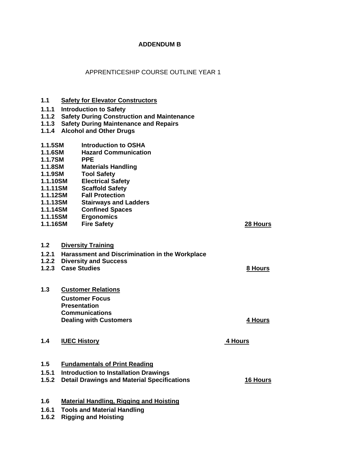# **ADDENDUM B**

# APPRENTICESHIP COURSE OUTLINE YEAR 1

| 1.1            | <b>Safety for Elevator Constructors</b>            |                 |  |  |  |
|----------------|----------------------------------------------------|-----------------|--|--|--|
| 1.1.1          | <b>Introduction to Safety</b>                      |                 |  |  |  |
| 1.1.2          | <b>Safety During Construction and Maintenance</b>  |                 |  |  |  |
| 1.1.3          | <b>Safety During Maintenance and Repairs</b>       |                 |  |  |  |
| 1.1.4          | <b>Alcohol and Other Drugs</b>                     |                 |  |  |  |
| 1.1.5SM        | Introduction to OSHA                               |                 |  |  |  |
| 1.1.6SM        | <b>Hazard Communication</b>                        |                 |  |  |  |
| <b>1.1.7SM</b> | <b>PPE</b>                                         |                 |  |  |  |
| 1.1.8SM        | <b>Materials Handling</b>                          |                 |  |  |  |
| 1.1.9SM        | <b>Tool Safety</b>                                 |                 |  |  |  |
| 1.1.10SM       | <b>Electrical Safety</b>                           |                 |  |  |  |
| 1.1.11SM       | <b>Scaffold Safety</b>                             |                 |  |  |  |
| 1.1.12SM       | <b>Fall Protection</b>                             |                 |  |  |  |
| 1.1.13SM       | <b>Stairways and Ladders</b>                       |                 |  |  |  |
| 1.1.14SM       | <b>Confined Spaces</b>                             |                 |  |  |  |
| 1.1.15SM       | <b>Ergonomics</b>                                  |                 |  |  |  |
| 1.1.16SM       | <b>Fire Safety</b>                                 | 28 Hours        |  |  |  |
|                |                                                    |                 |  |  |  |
| 1.2            | <b>Diversity Training</b>                          |                 |  |  |  |
| 1.2.1          | Harassment and Discrimination in the Workplace     |                 |  |  |  |
| 1.2.2          | <b>Diversity and Success</b>                       |                 |  |  |  |
| 1.2.3          | <b>Case Studies</b>                                | 8 Hours         |  |  |  |
|                |                                                    |                 |  |  |  |
| 1.3            | <b>Customer Relations</b>                          |                 |  |  |  |
|                | <b>Customer Focus</b>                              |                 |  |  |  |
|                | <b>Presentation</b>                                |                 |  |  |  |
|                | <b>Communications</b>                              |                 |  |  |  |
|                | <b>Dealing with Customers</b>                      | 4 Hours         |  |  |  |
|                |                                                    |                 |  |  |  |
| 1.4            | <b>IUEC History</b>                                | 4 Hours         |  |  |  |
|                |                                                    |                 |  |  |  |
| 1.5            | <b>Fundamentals of Print Reading</b>               |                 |  |  |  |
| 1.5.1          | <b>Introduction to Installation Drawings</b>       |                 |  |  |  |
| 1.5.2          | <b>Detail Drawings and Material Specifications</b> | <b>16 Hours</b> |  |  |  |

- **1.6 Material Handling, Rigging and Hoisting**
- **1.6.1 Tools and Material Handling**
- **1.6.2 Rigging and Hoisting**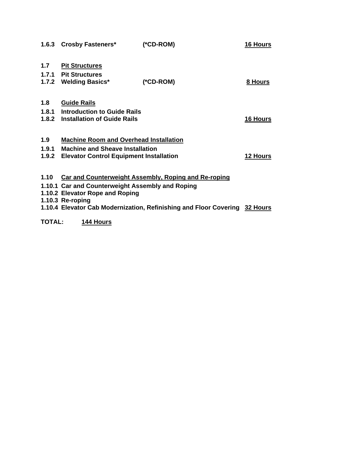|       | 1.6.3 Crosby Fasteners*                                                    | $(*CD-ROM)$                                                 | <b>16 Hours</b> |
|-------|----------------------------------------------------------------------------|-------------------------------------------------------------|-----------------|
| 1.7   | <b>Pit Structures</b>                                                      |                                                             |                 |
|       | 1.7.1 Pit Structures                                                       |                                                             |                 |
|       | 1.7.2 Welding Basics*                                                      | $(*CD-ROM)$                                                 | 8 Hours         |
|       |                                                                            |                                                             |                 |
| 1.8   | <b>Guide Rails</b>                                                         |                                                             |                 |
|       | 1.8.1 Introduction to Guide Rails                                          |                                                             |                 |
|       | 1.8.2 Installation of Guide Rails                                          |                                                             | <b>16 Hours</b> |
|       |                                                                            |                                                             |                 |
| 1.9   | <b>Machine Room and Overhead Installation</b>                              |                                                             |                 |
| 1.9.1 | <b>Machine and Sheave Installation</b>                                     |                                                             |                 |
|       | 1.9.2 Elevator Control Equipment Installation                              |                                                             | <b>12 Hours</b> |
|       |                                                                            |                                                             |                 |
| 1.10  |                                                                            | <b>Car and Counterweight Assembly, Roping and Re-roping</b> |                 |
|       | 1.10.1 Car and Counterweight Assembly and Roping                           |                                                             |                 |
|       | 1.10.2 Elevator Rope and Roping                                            |                                                             |                 |
|       | 1.10.3 Re-roping                                                           |                                                             |                 |
|       | 1.10.4 Elevator Cab Modernization, Refinishing and Floor Covering 32 Hours |                                                             |                 |

**TOTAL: 144 Hours**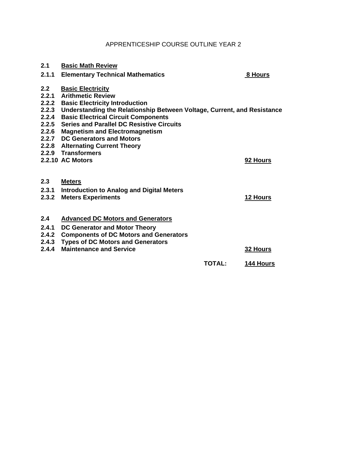# APPRENTICESHIP COURSE OUTLINE YEAR 2

| 2.1                   | <b>Basic Math Review</b>                                                                                                                                                                                                                                                                                                                                 |               |                 |
|-----------------------|----------------------------------------------------------------------------------------------------------------------------------------------------------------------------------------------------------------------------------------------------------------------------------------------------------------------------------------------------------|---------------|-----------------|
| 2.1.1                 | <b>Elementary Technical Mathematics</b>                                                                                                                                                                                                                                                                                                                  |               | 8 Hours         |
| 2.2<br>2.2.1<br>2.2.4 | <b>Basic Electricity</b><br><b>Arithmetic Review</b><br>2.2.2 Basic Electricity Introduction<br>2.2.3 Understanding the Relationship Between Voltage, Current, and Resistance<br><b>Basic Electrical Circuit Components</b><br>2.2.5 Series and Parallel DC Resistive Circuits<br>2.2.6 Magnetism and Electromagnetism<br>2.2.7 DC Generators and Motors |               |                 |
|                       | 2.2.8 Alternating Current Theory                                                                                                                                                                                                                                                                                                                         |               |                 |
|                       | 2.2.9 Transformers                                                                                                                                                                                                                                                                                                                                       |               |                 |
|                       | 2.2.10 AC Motors                                                                                                                                                                                                                                                                                                                                         |               | 92 Hours        |
| 2.3                   | <b>Meters</b>                                                                                                                                                                                                                                                                                                                                            |               |                 |
| 2.3.1<br>2.3.2        | <b>Introduction to Analog and Digital Meters</b><br><b>Meters Experiments</b>                                                                                                                                                                                                                                                                            |               | 12 Hours        |
| 2.4                   | <b>Advanced DC Motors and Generators</b>                                                                                                                                                                                                                                                                                                                 |               |                 |
| 2.4.1                 | DC Generator and Motor Theory                                                                                                                                                                                                                                                                                                                            |               |                 |
| 2.4.2                 | <b>Components of DC Motors and Generators</b>                                                                                                                                                                                                                                                                                                            |               |                 |
|                       | 2.4.3 Types of DC Motors and Generators                                                                                                                                                                                                                                                                                                                  |               |                 |
| 2.4.4                 | <b>Maintenance and Service</b>                                                                                                                                                                                                                                                                                                                           |               | <b>32 Hours</b> |
|                       |                                                                                                                                                                                                                                                                                                                                                          | <b>TOTAL:</b> | 144 Hours       |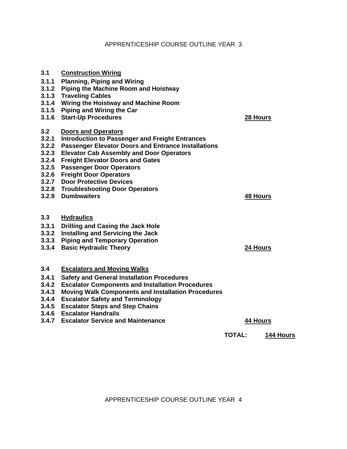# APPRENTICESHIP COURSE OUTLINE YEAR 3

| 3.1   | <b>Construction Wiring</b>                                 |                 |
|-------|------------------------------------------------------------|-----------------|
| 3.1.1 | <b>Planning, Piping and Wiring</b>                         |                 |
| 3.1.2 | <b>Piping the Machine Room and Hoistway</b>                |                 |
| 3.1.3 | <b>Traveling Cables</b>                                    |                 |
| 3.1.4 | Wiring the Hoistway and Machine Room                       |                 |
| 3.1.5 | <b>Piping and Wiring the Car</b>                           |                 |
| 3.1.6 | <b>Start-Up Procedures</b>                                 | 28 Hours        |
|       |                                                            |                 |
| 3.2   | <b>Doors and Operators</b>                                 |                 |
| 3.2.1 | <b>Introduction to Passenger and Freight Entrances</b>     |                 |
| 3.2.2 | <b>Passenger Elevator Doors and Entrance Installations</b> |                 |
| 3.2.3 | <b>Elevator Cab Assembly and Door Operators</b>            |                 |
| 3.2.4 | <b>Freight Elevator Doors and Gates</b>                    |                 |
| 3.2.5 | <b>Passenger Door Operators</b>                            |                 |
| 3.2.6 | <b>Freight Door Operators</b>                              |                 |
| 3.2.7 | <b>Door Protective Devices</b>                             |                 |
|       | 3.2.8 Troubleshooting Door Operators                       |                 |
| 3.2.9 | <b>Dumbwaiters</b>                                         | <b>48 Hours</b> |
|       |                                                            |                 |
| 3.3   | <b>Hydraulics</b>                                          |                 |
| 3.3.1 | <b>Drilling and Casing the Jack Hole</b>                   |                 |
| 3.3.2 | <b>Installing and Servicing the Jack</b>                   |                 |
| 3.3.3 | <b>Piping and Temporary Operation</b>                      |                 |
| 3.3.4 | <b>Basic Hydraulic Theory</b>                              | 24 Hours        |
|       |                                                            |                 |
| 3.4   | <b>Escalators and Moving Walks</b>                         |                 |
| 3.4.1 | <b>Safety and General Installation Procedures</b>          |                 |
| 3.4.2 | <b>Escalator Components and Installation Procedures</b>    |                 |
| 3.4.3 | <b>Moving Walk Components and Installation Procedures</b>  |                 |
| 3.4.4 | <b>Escalator Safety and Terminology</b>                    |                 |
| 3.4.5 | <b>Escalator Steps and Step Chains</b>                     |                 |
| 3.4.6 | <b>Escalator Handrails</b>                                 |                 |
| 3.4.7 | <b>Escalator Service and Maintenance</b>                   | <b>44 Hours</b> |
|       |                                                            |                 |

**TOTAL: 144 Hours**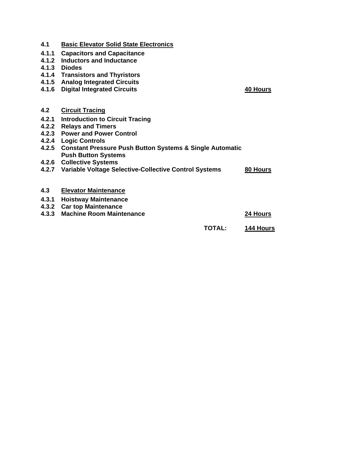| 4.1   | <b>Basic Elevator Solid State Electronics</b>                                                |           |
|-------|----------------------------------------------------------------------------------------------|-----------|
| 4.1.1 | <b>Capacitors and Capacitance</b>                                                            |           |
| 4.1.2 | <b>Inductors and Inductance</b>                                                              |           |
| 4.1.3 | <b>Diodes</b>                                                                                |           |
| 4.1.4 | <b>Transistors and Thyristors</b>                                                            |           |
| 4.1.5 | <b>Analog Integrated Circuits</b>                                                            |           |
| 4.1.6 | <b>Digital Integrated Circuits</b>                                                           | 40 Hours  |
| 4.2   | <b>Circuit Tracing</b>                                                                       |           |
| 4.2.1 | <b>Introduction to Circuit Tracing</b>                                                       |           |
| 4.2.2 | <b>Relays and Timers</b>                                                                     |           |
| 4.2.3 | <b>Power and Power Control</b>                                                               |           |
| 4.2.4 | <b>Logic Controls</b>                                                                        |           |
|       | 4.2.5 Constant Pressure Push Button Systems & Single Automatic<br><b>Push Button Systems</b> |           |
| 4.2.6 | <b>Collective Systems</b>                                                                    |           |
| 4.2.7 | Variable Voltage Selective-Collective Control Systems                                        | 80 Hours  |
| 4.3   | <b>Elevator Maintenance</b>                                                                  |           |
| 4.3.1 | <b>Hoistway Maintenance</b>                                                                  |           |
| 4.3.2 | <b>Car top Maintenance</b>                                                                   |           |
| 4.3.3 | <b>Machine Room Maintenance</b>                                                              | 24 Hours  |
|       | <b>TOTAL:</b>                                                                                | 144 Hours |
|       |                                                                                              |           |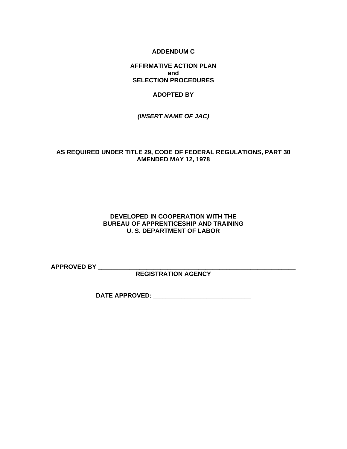### **ADDENDUM C**

# **AFFIRMATIVE ACTION PLAN and SELECTION PROCEDURES**

#### **ADOPTED BY**

*(INSERT NAME OF JAC)*

### **AS REQUIRED UNDER TITLE 29, CODE OF FEDERAL REGULATIONS, PART 30 AMENDED MAY 12, 1978**

### **DEVELOPED IN COOPERATION WITH THE BUREAU OF APPRENTICESHIP AND TRAINING U. S. DEPARTMENT OF LABOR**

**APPROVED BY \_\_\_\_\_\_\_\_\_\_\_\_\_\_\_\_\_\_\_\_\_\_\_\_\_\_\_\_\_\_\_\_\_\_\_\_\_\_\_\_\_\_\_\_\_\_\_\_\_\_\_\_\_\_\_\_\_** 

**REGISTRATION AGENCY** 

**DATE APPROVED: \_\_\_\_\_\_\_\_\_\_\_\_\_\_\_\_\_\_\_\_\_\_\_\_\_\_\_\_\_\_\_**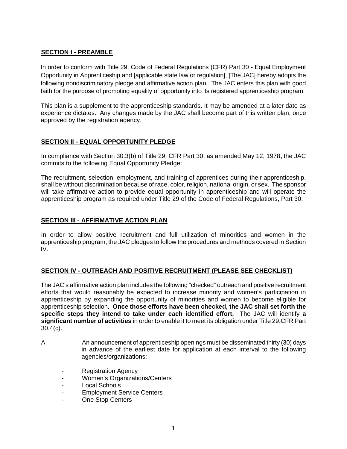# **SECTION I - PREAMBLE**

In order to conform with Title 29, Code of Federal Regulations (CFR) Part 30 - Equal Employment Opportunity in Apprenticeship and [applicable state law or regulation], [The JAC] hereby adopts the following nondiscriminatory pledge and affirmative action plan. The JAC enters this plan with good faith for the purpose of promoting equality of opportunity into its registered apprenticeship program.

This plan is a supplement to the apprenticeship standards. It may be amended at a later date as experience dictates. Any changes made by the JAC shall become part of this written plan, once approved by the registration agency.

# **SECTION II - EQUAL OPPORTUNITY PLEDGE**

 In compliance with Section 30.3(b) of Title 29, CFR Part 30, as amended May 12, 1978**,** the JAC commits to the following Equal Opportunity Pledge:

The recruitment, selection, employment, and training of apprentices during their apprenticeship, shall be without discrimination because of race, color, religion, national origin, or sex. The sponsor will take affirmative action to provide equal opportunity in apprenticeship and will operate the apprenticeship program as required under Title 29 of the Code of Federal Regulations, Part 30.

# **SECTION III - AFFIRMATIVE ACTION PLAN**

 In order to allow positive recruitment and full utilization of minorities and women in the apprenticeship program, the JAC pledges to follow the procedures and methods covered in Section IV.

# **SECTION IV - OUTREACH AND POSITIVE RECRUITMENT (PLEASE SEE CHECKLIST)**

The JAC's affirmative action plan includes the following "checked" outreach and positive recruitment efforts that would reasonably be expected to increase minority and women's participation in apprenticeship by expanding the opportunity of minorities and women to become eligible for apprenticeship selection. **Once those efforts have been checked, the JAC shall set forth the specific steps they intend to take under each identified effort.** The JAC will identify **a significant number of activities** in order to enable it to meet its obligation under Title 29,CFR Part 30.4(c).

- A. An announcement of apprenticeship openings must be disseminated thirty (30) days in advance of the earliest date for application at each interval to the following agencies/organizations:
	- **Registration Agency**
	- Women's Organizations/Centers
	- Local Schools
	- **Employment Service Centers**
	- One Stop Centers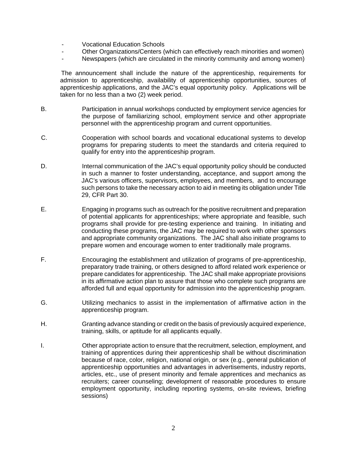- Vocational Education Schools
- Other Organizations/Centers (which can effectively reach minorities and women)
- Newspapers (which are circulated in the minority community and among women)

 The announcement shall include the nature of the apprenticeship, requirements for admission to apprenticeship, availability of apprenticeship opportunities, sources of apprenticeship applications, and the JAC's equal opportunity policy. Applications will be taken for no less than a two (2) week period.

- B. Participation in annual workshops conducted by employment service agencies for the purpose of familiarizing school, employment service and other appropriate personnel with the apprenticeship program and current opportunities.
- C. Cooperation with school boards and vocational educational systems to develop programs for preparing students to meet the standards and criteria required to qualify for entry into the apprenticeship program.
- D. Internal communication of the JAC's equal opportunity policy should be conducted in such a manner to foster understanding, acceptance, and support among the JAC's various officers, supervisors, employees, and members, and to encourage such persons to take the necessary action to aid in meeting its obligation under Title 29, CFR Part 30.
- E. Engaging in programs such as outreach for the positive recruitment and preparation of potential applicants for apprenticeships; where appropriate and feasible, such programs shall provide for pre-testing experience and training. In initiating and conducting these programs, the JAC may be required to work with other sponsors and appropriate community organizations. The JAC shall also initiate programs to prepare women and encourage women to enter traditionally male programs.
- F. Encouraging the establishment and utilization of programs of pre-apprenticeship, preparatory trade training, or others designed to afford related work experience or prepare candidates for apprenticeship. The JAC shall make appropriate provisions in its affirmative action plan to assure that those who complete such programs are afforded full and equal opportunity for admission into the apprenticeship program.
- G. Utilizing mechanics to assist in the implementation of affirmative action in the apprenticeship program.
- H. Granting advance standing or credit on the basis of previously acquired experience, training, skills, or aptitude for all applicants equally.
- I. **Chall** Other appropriate action to ensure that the recruitment, selection, employment, and training of apprentices during their apprenticeship shall be without discrimination because of race, color, religion, national origin, or sex (e.g., general publication of apprenticeship opportunities and advantages in advertisements, industry reports, articles, etc., use of present minority and female apprentices and mechanics as recruiters; career counseling; development of reasonable procedures to ensure employment opportunity, including reporting systems, on-site reviews, briefing sessions)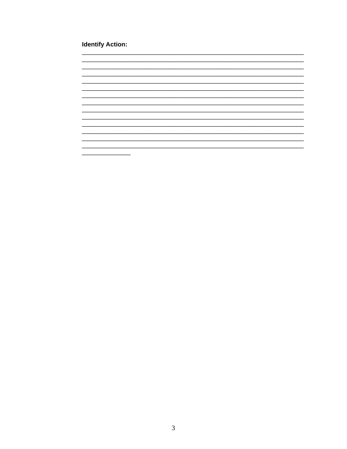# **Identify Action:**

———<br>————————————————————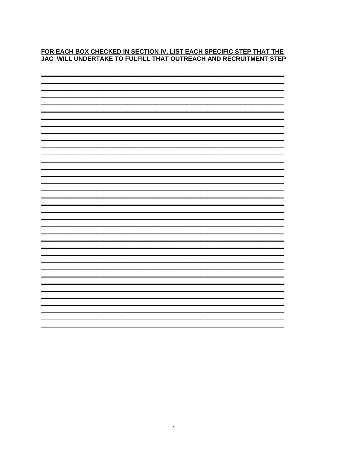# FOR EACH BOX CHECKED IN SECTION IV, LIST EACH SPECIFIC STEP THAT THE JAC WILL UNDERTAKE TO FULFILL THAT OUTREACH AND RECRUITMENT STEP

| $\blacksquare$ |
|----------------|
|                |
|                |
|                |
|                |
|                |
|                |
|                |
| ▬              |
| Н              |
|                |
|                |
|                |
|                |
|                |
|                |
|                |
|                |
|                |
|                |
|                |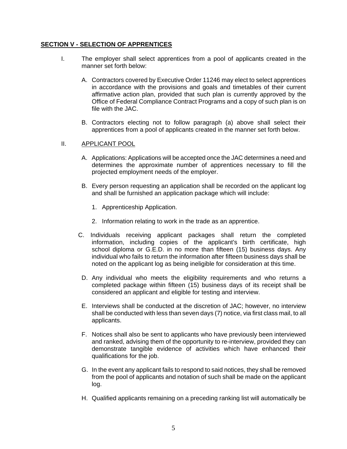# **SECTION V - SELECTION OF APPRENTICES**

- I. The employer shall select apprentices from a pool of applicants created in the manner set forth below:
	- A. Contractors covered by Executive Order 11246 may elect to select apprentices in accordance with the provisions and goals and timetables of their current affirmative action plan, provided that such plan is currently approved by the Office of Federal Compliance Contract Programs and a copy of such plan is on file with the JAC.
	- B. Contractors electing not to follow paragraph (a) above shall select their apprentices from a pool of applicants created in the manner set forth below.

#### II. APPLICANT POOL

- A. Applications: Applications will be accepted once the JAC determines a need and determines the approximate number of apprentices necessary to fill the projected employment needs of the employer.
- B. Every person requesting an application shall be recorded on the applicant log and shall be furnished an application package which will include:
	- 1. Apprenticeship Application.
	- 2. Information relating to work in the trade as an apprentice.
- C. Individuals receiving applicant packages shall return the completed information, including copies of the applicant's birth certificate, high school diploma or G.E.D. in no more than fifteen (15) business days. Any individual who fails to return the information after fifteen business days shall be noted on the applicant log as being ineligible for consideration at this time.
- D. Any individual who meets the eligibility requirements and who returns a completed package within fifteen (15) business days of its receipt shall be considered an applicant and eligible for testing and interview.
- E. Interviews shall be conducted at the discretion of JAC; however, no interview shall be conducted with less than seven days (7) notice, via first class mail, to all applicants.
- F. Notices shall also be sent to applicants who have previously been interviewed and ranked, advising them of the opportunity to re-interview, provided they can demonstrate tangible evidence of activities which have enhanced their qualifications for the job.
- G. In the event any applicant fails to respond to said notices, they shall be removed from the pool of applicants and notation of such shall be made on the applicant log.
- H. Qualified applicants remaining on a preceding ranking list will automatically be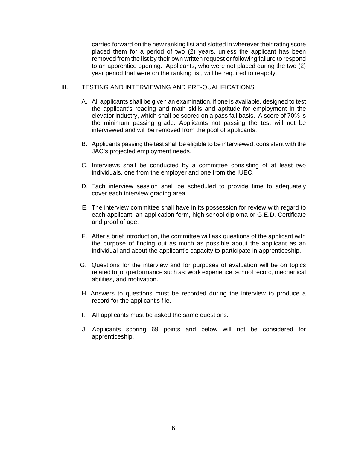carried forward on the new ranking list and slotted in wherever their rating score placed them for a period of two (2) years, unless the applicant has been removed from the list by their own written request or following failure to respond to an apprentice opening. Applicants, who were not placed during the two (2) year period that were on the ranking list, will be required to reapply.

#### III. TESTING AND INTERVIEWING AND PRE-QUALIFICATIONS

- A. All applicants shall be given an examination, if one is available, designed to test the applicant's reading and math skills and aptitude for employment in the elevator industry, which shall be scored on a pass fail basis. A score of 70% is the minimum passing grade. Applicants not passing the test will not be interviewed and will be removed from the pool of applicants.
- B. Applicants passing the test shall be eligible to be interviewed, consistent with the JAC's projected employment needs.
- C. Interviews shall be conducted by a committee consisting of at least two individuals, one from the employer and one from the IUEC.
- D. Each interview session shall be scheduled to provide time to adequately cover each interview grading area.
- E. The interview committee shall have in its possession for review with regard to each applicant: an application form, high school diploma or G.E.D. Certificate and proof of age.
- F. After a brief introduction, the committee will ask questions of the applicant with the purpose of finding out as much as possible about the applicant as an individual and about the applicant's capacity to participate in apprenticeship.
- G. Questions for the interview and for purposes of evaluation will be on topics related to job performance such as: work experience, school record, mechanical abilities, and motivation.
- H. Answers to questions must be recorded during the interview to produce a record for the applicant's file.
- I. All applicants must be asked the same questions.
- J. Applicants scoring 69 points and below will not be considered for apprenticeship.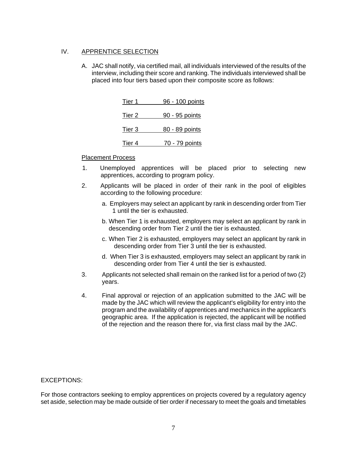# IV. APPRENTICE SELECTION

A. JAC shall notify, via certified mail, all individuals interviewed of the results of the interview, including their score and ranking. The individuals interviewed shall be placed into four tiers based upon their composite score as follows:

| Tier 1            | 96 - 100 points |
|-------------------|-----------------|
| Tier <sub>2</sub> | 90 - 95 points  |
| Tier 3            | 80 - 89 points  |
| Tier 4            | 70 - 79 points  |

# Placement Process

- 1. Unemployed apprentices will be placed prior to selecting new apprentices, according to program policy.
- 2. Applicants will be placed in order of their rank in the pool of eligibles according to the following procedure:
	- a. Employers may select an applicant by rank in descending order from Tier 1 until the tier is exhausted.
	- b. When Tier 1 is exhausted, employers may select an applicant by rank in descending order from Tier 2 until the tier is exhausted.
	- c. When Tier 2 is exhausted, employers may select an applicant by rank in descending order from Tier 3 until the tier is exhausted.
	- d. When Tier 3 is exhausted, employers may select an applicant by rank in descending order from Tier 4 until the tier is exhausted.
- 3. Applicants not selected shall remain on the ranked list for a period of two (2) years.
- 4. Final approval or rejection of an application submitted to the JAC will be made by the JAC which will review the applicant's eligibility for entry into the program and the availability of apprentices and mechanics in the applicant's geographic area. If the application is rejected, the applicant will be notified of the rejection and the reason there for, via first class mail by the JAC.

#### EXCEPTIONS:

For those contractors seeking to employ apprentices on projects covered by a regulatory agency set aside, selection may be made outside of tier order if necessary to meet the goals and timetables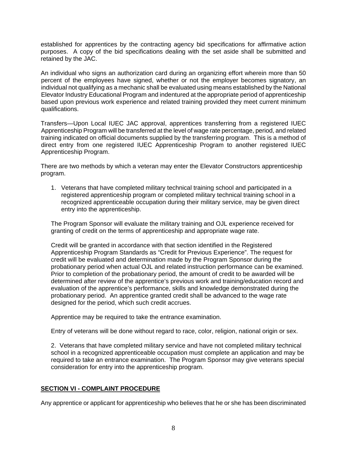established for apprentices by the contracting agency bid specifications for affirmative action purposes. A copy of the bid specifications dealing with the set aside shall be submitted and retained by the JAC.

An individual who signs an authorization card during an organizing effort wherein more than 50 percent of the employees have signed, whether or not the employer becomes signatory, an individual not qualifying as a mechanic shall be evaluated using means established by the National Elevator Industry Educational Program and indentured at the appropriate period of apprenticeship based upon previous work experience and related training provided they meet current minimum qualifications.

Transfers—Upon Local IUEC JAC approval, apprentices transferring from a registered IUEC Apprenticeship Program will be transferred at the level of wage rate percentage, period, and related training indicated on official documents supplied by the transferring program. This is a method of direct entry from one registered IUEC Apprenticeship Program to another registered IUEC Apprenticeship Program.

There are two methods by which a veteran may enter the Elevator Constructors apprenticeship program.

1. Veterans that have completed military technical training school and participated in a registered apprenticeship program or completed military technical training school in a recognized apprenticeable occupation during their military service, may be given direct entry into the apprenticeship.

The Program Sponsor will evaluate the military training and OJL experience received for granting of credit on the terms of apprenticeship and appropriate wage rate.

Credit will be granted in accordance with that section identified in the Registered Apprenticeship Program Standards as "Credit for Previous Experience". The request for credit will be evaluated and determination made by the Program Sponsor during the probationary period when actual OJL and related instruction performance can be examined. Prior to completion of the probationary period, the amount of credit to be awarded will be determined after review of the apprentice's previous work and training/education record and evaluation of the apprentice's performance, skills and knowledge demonstrated during the probationary period. An apprentice granted credit shall be advanced to the wage rate designed for the period, which such credit accrues.

Apprentice may be required to take the entrance examination.

Entry of veterans will be done without regard to race, color, religion, national origin or sex.

2. Veterans that have completed military service and have not completed military technical school in a recognized apprenticeable occupation must complete an application and may be required to take an entrance examination. The Program Sponsor may give veterans special consideration for entry into the apprenticeship program.

# **SECTION VI - COMPLAINT PROCEDURE**

Any apprentice or applicant for apprenticeship who believes that he or she has been discriminated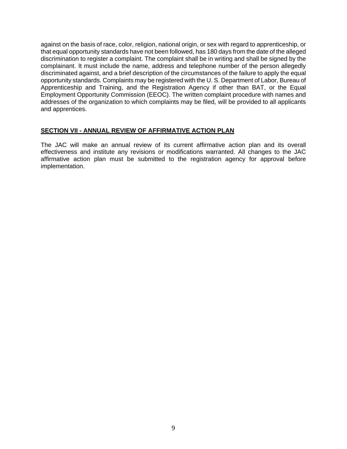against on the basis of race, color, religion, national origin, or sex with regard to apprenticeship, or that equal opportunity standards have not been followed, has 180 days from the date of the alleged discrimination to register a complaint. The complaint shall be in writing and shall be signed by the complainant. It must include the name, address and telephone number of the person allegedly discriminated against, and a brief description of the circumstances of the failure to apply the equal opportunity standards. Complaints may be registered with the U. S. Department of Labor, Bureau of Apprenticeship and Training, and the Registration Agency if other than BAT, or the Equal Employment Opportunity Commission (EEOC). The written complaint procedure with names and addresses of the organization to which complaints may be filed, will be provided to all applicants and apprentices.

#### **SECTION VII - ANNUAL REVIEW OF AFFIRMATIVE ACTION PLAN**

The JAC will make an annual review of its current affirmative action plan and its overall effectiveness and institute any revisions or modifications warranted. All changes to the JAC affirmative action plan must be submitted to the registration agency for approval before implementation.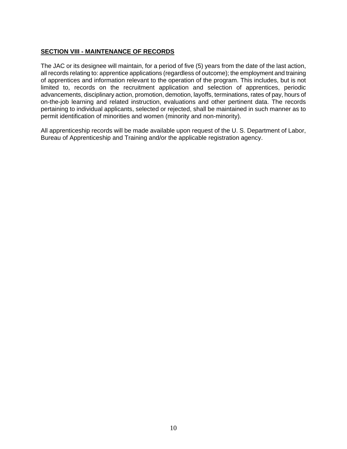# **SECTION VIII - MAINTENANCE OF RECORDS**

The JAC or its designee will maintain, for a period of five (5) years from the date of the last action, all records relating to: apprentice applications (regardless of outcome); the employment and training of apprentices and information relevant to the operation of the program. This includes, but is not limited to, records on the recruitment application and selection of apprentices, periodic advancements, disciplinary action, promotion, demotion, layoffs, terminations, rates of pay, hours of on-the-job learning and related instruction, evaluations and other pertinent data. The records pertaining to individual applicants, selected or rejected, shall be maintained in such manner as to permit identification of minorities and women (minority and non-minority).

All apprenticeship records will be made available upon request of the U. S. Department of Labor, Bureau of Apprenticeship and Training and/or the applicable registration agency.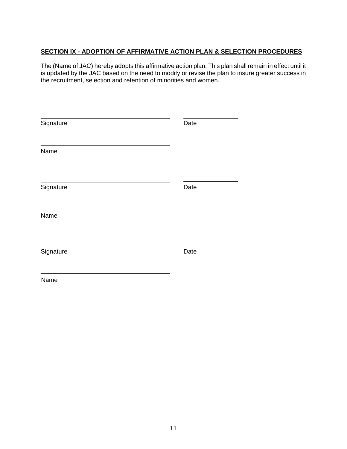# **SECTION IX - ADOPTION OF AFFIRMATIVE ACTION PLAN & SELECTION PROCEDURES**

The (Name of JAC) hereby adopts this affirmative action plan. This plan shall remain in effect until it is updated by the JAC based on the need to modify or revise the plan to insure greater success in the recruitment, selection and retention of minorities and women.

| Signature | Date |
|-----------|------|
| Name      |      |
| Signature | Date |
| Name      |      |
| Signature | Date |
| Name      |      |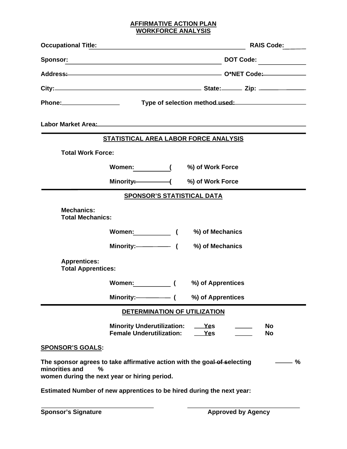#### **AFFIRMATIVE ACTION PLAN WORKFORCE ANALYSIS**

| <b>Occupational Title:</b>                                                                                                                                  | the control of the control of the control of the control of the control of the control of the control of the control of the control of the control of the control of the control of the control of the control of the control |  |                   |  | RAIS Code:             |
|-------------------------------------------------------------------------------------------------------------------------------------------------------------|-------------------------------------------------------------------------------------------------------------------------------------------------------------------------------------------------------------------------------|--|-------------------|--|------------------------|
|                                                                                                                                                             |                                                                                                                                                                                                                               |  |                   |  | DOT Code:              |
|                                                                                                                                                             |                                                                                                                                                                                                                               |  |                   |  |                        |
|                                                                                                                                                             |                                                                                                                                                                                                                               |  |                   |  |                        |
|                                                                                                                                                             |                                                                                                                                                                                                                               |  |                   |  |                        |
|                                                                                                                                                             |                                                                                                                                                                                                                               |  |                   |  |                        |
|                                                                                                                                                             | <b>STATISTICAL AREA LABOR FORCE ANALYSIS</b>                                                                                                                                                                                  |  |                   |  |                        |
| <b>Total Work Force:</b>                                                                                                                                    |                                                                                                                                                                                                                               |  |                   |  |                        |
|                                                                                                                                                             | Women: ( %) of Work Force                                                                                                                                                                                                     |  |                   |  |                        |
|                                                                                                                                                             | Minority: (400) of Work Force                                                                                                                                                                                                 |  |                   |  |                        |
|                                                                                                                                                             | <b>SPONSOR'S STATISTICAL DATA</b>                                                                                                                                                                                             |  |                   |  |                        |
| <b>Mechanics:</b><br><b>Total Mechanics:</b>                                                                                                                |                                                                                                                                                                                                                               |  |                   |  |                        |
|                                                                                                                                                             | Women: ( %) of Mechanics                                                                                                                                                                                                      |  |                   |  |                        |
|                                                                                                                                                             |                                                                                                                                                                                                                               |  |                   |  |                        |
| <b>Apprentices:</b><br><b>Total Apprentices:</b>                                                                                                            |                                                                                                                                                                                                                               |  |                   |  |                        |
|                                                                                                                                                             | Women: (                                                                                                                                                                                                                      |  | %) of Apprentices |  |                        |
|                                                                                                                                                             |                                                                                                                                                                                                                               |  | %) of Apprentices |  |                        |
|                                                                                                                                                             | DETERMINATION OF UTILIZATION                                                                                                                                                                                                  |  |                   |  |                        |
|                                                                                                                                                             | <b>Minority Underutilization:</b><br><b>Female Underutilization:</b>                                                                                                                                                          |  | Yes<br>Yes        |  | <b>No</b><br><b>No</b> |
| <b>SPONSOR'S GOALS:</b>                                                                                                                                     |                                                                                                                                                                                                                               |  |                   |  |                        |
| The sponsor agrees to take affirmative action with the goal of selecting<br>minorities and<br>$\frac{9}{6}$<br>women during the next year or hiring period. |                                                                                                                                                                                                                               |  |                   |  | %                      |
| Estimated Number of new apprentices to be hired during the next year:                                                                                       |                                                                                                                                                                                                                               |  |                   |  |                        |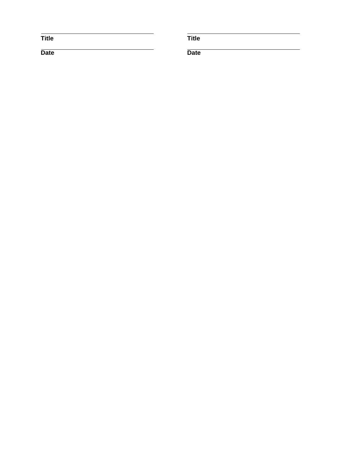**Title Title** 

**Date** Date **Date Date**